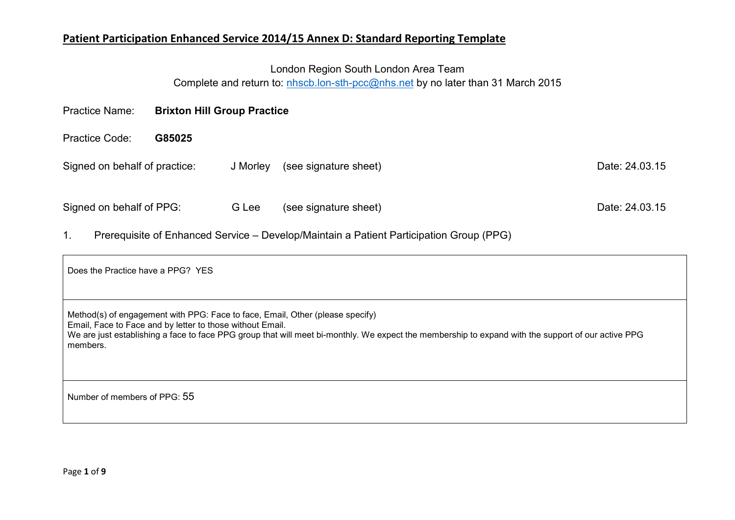# London Region South London Area Team

Complete and return to: nhscb.lon-sth-pcc@nhs.net by no later than 31 March 2015

| <b>Brixton Hill Group Practice</b><br><b>Practice Name:</b> |        |          |                       |                |
|-------------------------------------------------------------|--------|----------|-----------------------|----------------|
| <b>Practice Code:</b>                                       | G85025 |          |                       |                |
| Signed on behalf of practice:                               |        | J Morley | (see signature sheet) | Date: 24.03.15 |
| Signed on behalf of PPG:                                    |        | G Lee    | (see signature sheet) | Date: 24.03.15 |

1. Prerequisite of Enhanced Service – Develop/Maintain a Patient Participation Group (PPG)

| Does the Practice have a PPG? YES                                                                                                                                                                                                                                                                            |
|--------------------------------------------------------------------------------------------------------------------------------------------------------------------------------------------------------------------------------------------------------------------------------------------------------------|
| Method(s) of engagement with PPG: Face to face, Email, Other (please specify)<br>Email, Face to Face and by letter to those without Email.<br>We are just establishing a face to face PPG group that will meet bi-monthly. We expect the membership to expand with the support of our active PPG<br>members. |
| Number of members of PPG: 55                                                                                                                                                                                                                                                                                 |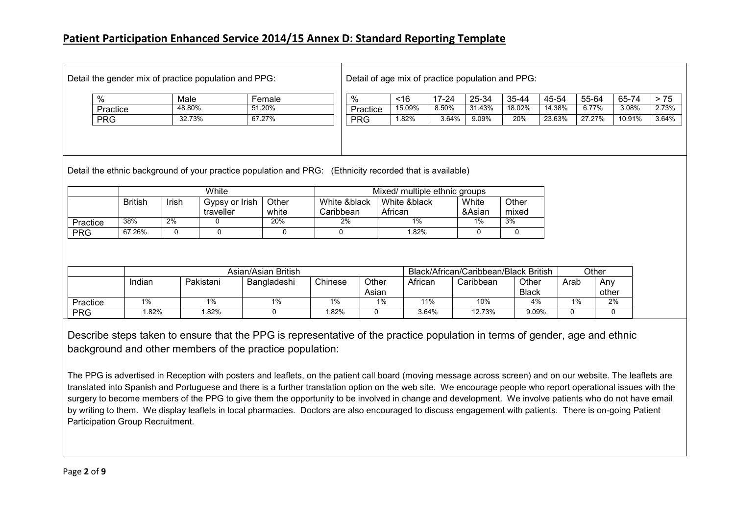| Detail the gender mix of practice population and PPG: |            |        |                                                                                                          |          | Detail of age mix of practice population and PPG: |           |        |        |        |        |        |       |  |
|-------------------------------------------------------|------------|--------|----------------------------------------------------------------------------------------------------------|----------|---------------------------------------------------|-----------|--------|--------|--------|--------|--------|-------|--|
|                                                       | %          | Male   | Female                                                                                                   | %        | ~16                                               | $17 - 24$ | 25-34  | 35-44  | 45-54  | 55-64  | 65-74  | >75   |  |
|                                                       | Practice   | 48.80% | 51.20%                                                                                                   | Practice | 15.09%                                            | 8.50%     | 31.43% | 18.02% | 14.38% | 6.77%  | 3.08%  | 2.73% |  |
|                                                       | <b>PRG</b> | 32.73% | 67.27%                                                                                                   | PRG      | 1.82%                                             | 3.64%     | 9.09%  | 20%    | 23.63% | 27.27% | 10.91% | 3.64% |  |
|                                                       |            |        |                                                                                                          |          |                                                   |           |        |        |        |        |        |       |  |
|                                                       |            |        | Detail the ethnic background of your practice population and PRG: (Ethnicity recorded that is available) |          |                                                   |           |        |        |        |        |        |       |  |

|            |                |              | White          |       | Mixed/ multiple ethnic groups |              |        |       |  |  |
|------------|----------------|--------------|----------------|-------|-------------------------------|--------------|--------|-------|--|--|
|            | <b>British</b> | <b>Irish</b> | Gypsy or Irish | Other | White &black                  | White &black | White  | Other |  |  |
|            |                |              | traveller      | white | Caribbean                     | African      | &Asian | mixed |  |  |
| Practice   | 38%            | 2%           |                | 20%   | 2%                            | 1%           | $1\%$  | 3%    |  |  |
| <b>PRG</b> | 67.26%         |              |                |       |                               | .82%         |        |       |  |  |

|            |        |           | Asian/Asian British | Black/African/Caribbean/Black British | Other          |         |           |                       |      |              |
|------------|--------|-----------|---------------------|---------------------------------------|----------------|---------|-----------|-----------------------|------|--------------|
|            | Indian | Pakistani | Bangladeshi         | Chinese                               | Other<br>Asian | African | Caribbean | Other<br><b>Black</b> | Arab | Anv<br>other |
| Practice   | 1%     | 1%        | 1%                  | 1%                                    | 1%             | 11%     | 10%       | 4%                    | 1%   | 2%           |
| <b>PRG</b> | .82%   | $.82\%$   |                     | .82%                                  |                | 3.64%   | 12.73%    | 9.09%                 |      |              |

Describe steps taken to ensure that the PPG is representative of the practice population in terms of gender, age and ethnic background and other members of the practice population:

The PPG is advertised in Reception with posters and leaflets, on the patient call board (moving message across screen) and on our website. The leaflets are translated into Spanish and Portuguese and there is a further translation option on the web site. We encourage people who report operational issues with the surgery to become members of the PPG to give them the opportunity to be involved in change and development. We involve patients who do not have email by writing to them. We display leaflets in local pharmacies. Doctors are also encouraged to discuss engagement with patients. There is on-going Patient Participation Group Recruitment.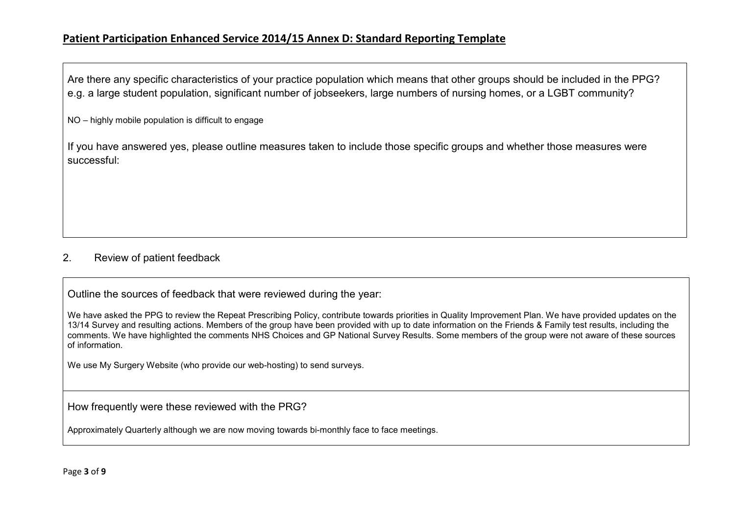Are there any specific characteristics of your practice population which means that other groups should be included in the PPG? e.g. a large student population, significant number of jobseekers, large numbers of nursing homes, or a LGBT community?

NO – highly mobile population is difficult to engage

If you have answered yes, please outline measures taken to include those specific groups and whether those measures were successful:

#### 2. Review of patient feedback

Outline the sources of feedback that were reviewed during the year:

We have asked the PPG to review the Repeat Prescribing Policy, contribute towards priorities in Quality Improvement Plan. We have provided updates on the13/14 Survey and resulting actions. Members of the group have been provided with up to date information on the Friends & Family test results, including the comments. We have highlighted the comments NHS Choices and GP National Survey Results. Some members of the group were not aware of these sources of information.

We use My Surgery Website (who provide our web-hosting) to send surveys.

How frequently were these reviewed with the PRG?

Approximately Quarterly although we are now moving towards bi-monthly face to face meetings.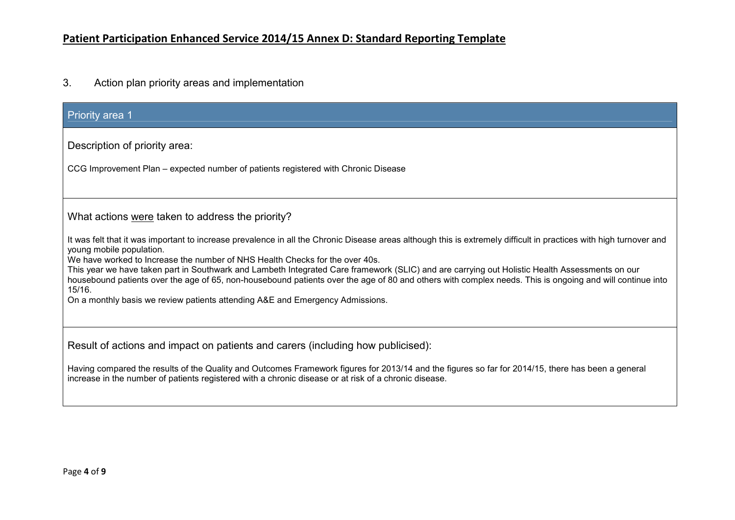3. Action plan priority areas and implementation

| <b>Priority area 1</b>                                                                                                                                                                                                                                                                                                                                                                                                                                                                                                                                                                                 |
|--------------------------------------------------------------------------------------------------------------------------------------------------------------------------------------------------------------------------------------------------------------------------------------------------------------------------------------------------------------------------------------------------------------------------------------------------------------------------------------------------------------------------------------------------------------------------------------------------------|
| Description of priority area:                                                                                                                                                                                                                                                                                                                                                                                                                                                                                                                                                                          |
| CCG Improvement Plan – expected number of patients registered with Chronic Disease                                                                                                                                                                                                                                                                                                                                                                                                                                                                                                                     |
|                                                                                                                                                                                                                                                                                                                                                                                                                                                                                                                                                                                                        |
| What actions were taken to address the priority?                                                                                                                                                                                                                                                                                                                                                                                                                                                                                                                                                       |
| It was felt that it was important to increase prevalence in all the Chronic Disease areas although this is extremely difficult in practices with high turnover and<br>young mobile population.<br>We have worked to Increase the number of NHS Health Checks for the over 40s.<br>This year we have taken part in Southwark and Lambeth Integrated Care framework (SLIC) and are carrying out Holistic Health Assessments on our<br>housebound patients over the age of 65, non-housebound patients over the age of 80 and others with complex needs. This is ongoing and will continue into<br>15/16. |
| On a monthly basis we review patients attending A&E and Emergency Admissions.                                                                                                                                                                                                                                                                                                                                                                                                                                                                                                                          |
| Result of actions and impact on patients and carers (including how publicised):                                                                                                                                                                                                                                                                                                                                                                                                                                                                                                                        |
| Having compared the results of the Quality and Outcomes Framework figures for 2013/14 and the figures so far for 2014/15, there has been a general<br>increase in the number of patients registered with a chronic disease or at risk of a chronic disease.                                                                                                                                                                                                                                                                                                                                            |
|                                                                                                                                                                                                                                                                                                                                                                                                                                                                                                                                                                                                        |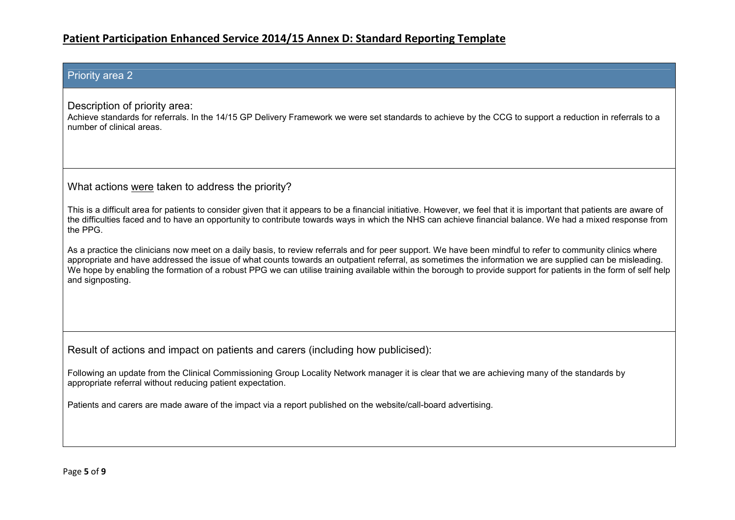#### Priority area 2

Description of priority area:

 Achieve standards for referrals. In the 14/15 GP Delivery Framework we were set standards to achieve by the CCG to support a reduction in referrals to a number of clinical areas.

What actions were taken to address the priority?

This is a difficult area for patients to consider given that it appears to be a financial initiative. However, we feel that it is important that patients are aware of the difficulties faced and to have an opportunity to contribute towards ways in which the NHS can achieve financial balance. We had a mixed response fromthe PPG.

As a practice the clinicians now meet on a daily basis, to review referrals and for peer support. We have been mindful to refer to community clinics where appropriate and have addressed the issue of what counts towards an outpatient referral, as sometimes the information we are supplied can be misleading. We hope by enabling the formation of a robust PPG we can utilise training available within the borough to provide support for patients in the form of self help and signposting.

Result of actions and impact on patients and carers (including how publicised):

Following an update from the Clinical Commissioning Group Locality Network manager it is clear that we are achieving many of the standards by appropriate referral without reducing patient expectation.

Patients and carers are made aware of the impact via a report published on the website/call-board advertising.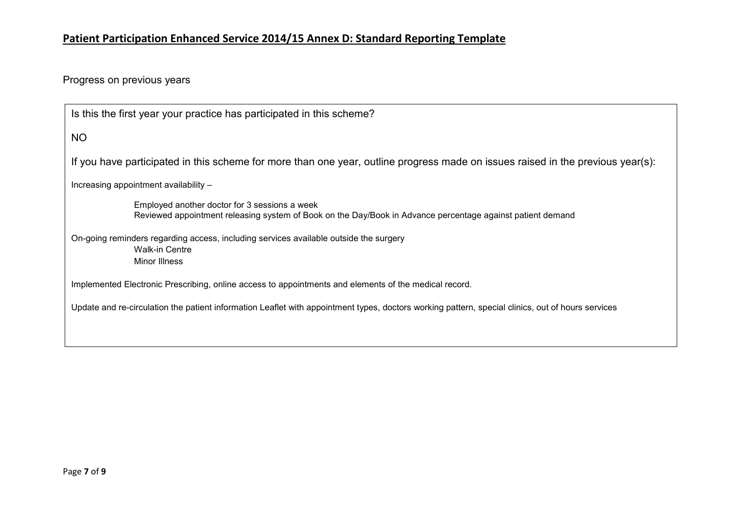Progress on previous years

| Is this the first year your practice has participated in this scheme?                                                                                       |
|-------------------------------------------------------------------------------------------------------------------------------------------------------------|
| NO                                                                                                                                                          |
| If you have participated in this scheme for more than one year, outline progress made on issues raised in the previous year(s):                             |
| Increasing appointment availability -                                                                                                                       |
| Employed another doctor for 3 sessions a week<br>Reviewed appointment releasing system of Book on the Day/Book in Advance percentage against patient demand |
| On-going reminders regarding access, including services available outside the surgery<br>Walk-in Centre<br><b>Minor Illness</b>                             |
| Implemented Electronic Prescribing, online access to appointments and elements of the medical record.                                                       |
| Update and re-circulation the patient information Leaflet with appointment types, doctors working pattern, special clinics, out of hours services           |
|                                                                                                                                                             |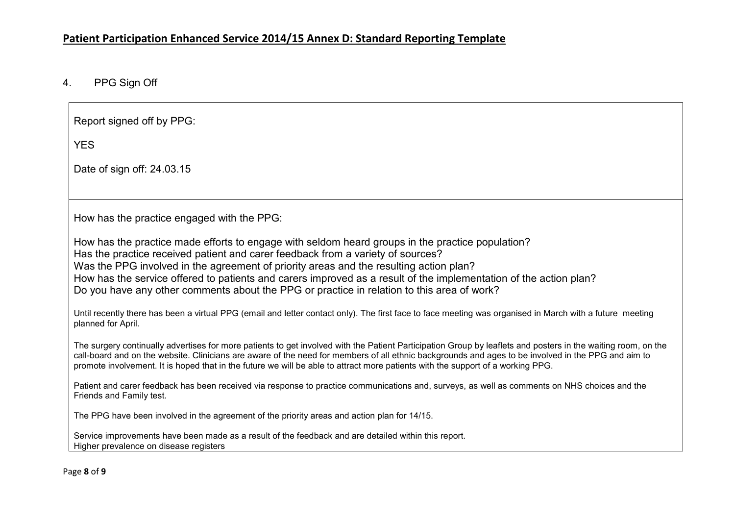## 4. PPG Sign Off

| Report signed off by PPG:                                                                                                                                                                                                                                                                                                                                                                                                                                                                        |
|--------------------------------------------------------------------------------------------------------------------------------------------------------------------------------------------------------------------------------------------------------------------------------------------------------------------------------------------------------------------------------------------------------------------------------------------------------------------------------------------------|
| <b>YES</b>                                                                                                                                                                                                                                                                                                                                                                                                                                                                                       |
| Date of sign off: 24.03.15                                                                                                                                                                                                                                                                                                                                                                                                                                                                       |
|                                                                                                                                                                                                                                                                                                                                                                                                                                                                                                  |
| How has the practice engaged with the PPG:                                                                                                                                                                                                                                                                                                                                                                                                                                                       |
| How has the practice made efforts to engage with seldom heard groups in the practice population?<br>Has the practice received patient and carer feedback from a variety of sources?<br>Was the PPG involved in the agreement of priority areas and the resulting action plan?<br>How has the service offered to patients and carers improved as a result of the implementation of the action plan?<br>Do you have any other comments about the PPG or practice in relation to this area of work? |
| Until recently there has been a virtual PPG (email and letter contact only). The first face to face meeting was organised in March with a future meeting<br>planned for April.                                                                                                                                                                                                                                                                                                                   |
| The surgery continually advertises for more patients to get involved with the Patient Participation Group by leaflets and posters in the waiting room, on the<br>call-board and on the website. Clinicians are aware of the need for members of all ethnic backgrounds and ages to be involved in the PPG and aim to<br>promote involvement. It is hoped that in the future we will be able to attract more patients with the support of a working PPG.                                          |
| Patient and carer feedback has been received via response to practice communications and, surveys, as well as comments on NHS choices and the<br>Friends and Family test.                                                                                                                                                                                                                                                                                                                        |
| The PPG have been involved in the agreement of the priority areas and action plan for 14/15.                                                                                                                                                                                                                                                                                                                                                                                                     |
| Service improvements have been made as a result of the feedback and are detailed within this report.<br>Higher prevalence on disease registers                                                                                                                                                                                                                                                                                                                                                   |